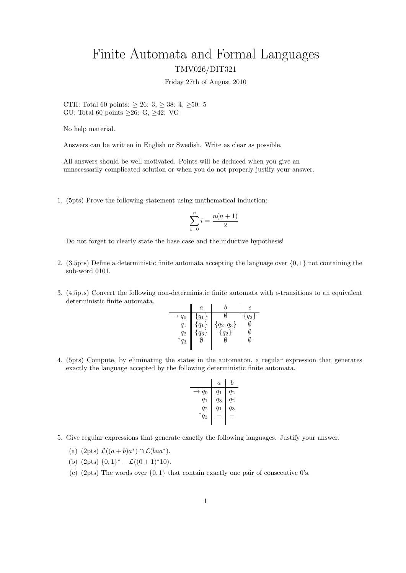## Finite Automata and Formal Languages TMV026/DIT321

Friday 27th of August 2010

CTH: Total 60 points:  $\geq 26: 3, \geq 38: 4, \geq 50: 5$ GU: Total 60 points  $\geq 26$ : G,  $\geq 42$ : VG

No help material.

Answers can be written in English or Swedish. Write as clear as possible.

All answers should be well motivated. Points will be deduced when you give an unnecessarily complicated solution or when you do not properly justify your answer.

1. (5pts) Prove the following statement using mathematical induction:

$$
\sum_{i=0}^{n} i = \frac{n(n+1)}{2}
$$

Do not forget to clearly state the base case and the inductive hypothesis!

- 2. (3.5pts) Define a deterministic finite automata accepting the language over {0, 1} not containing the sub-word 0101.
- 3. (4.5pts) Convert the following non-deterministic finite automata with  $\epsilon$ -transitions to an equivalent deterministic finite automata.

|                | $\it a$   |              | F       |
|----------------|-----------|--------------|---------|
| $q_0$          | ${q_1}$   |              | $q_2\}$ |
| $q_1$          | $\{q_1\}$ | ${q_2, q_3}$ |         |
| $q_2$          | $\{q_3\}$ | $\{q_2\}$    | N       |
| $^{\ast}q_{3}$ |           |              | M       |
|                |           |              |         |

4. (5pts) Compute, by eliminating the states in the automaton, a regular expression that generates exactly the language accepted by the following deterministic finite automata.

$$
\begin{array}{c|c|c|c} & a & b \\ \hline & q_0 & q_1 & q_2 \\ & q_1 & q_3 & q_2 \\ & q_2 & q_1 & q_3 \\ *q_3 & - & - \end{array}
$$

- 5. Give regular expressions that generate exactly the following languages. Justify your answer.
	- (a)  $(2pts) \mathcal{L}((a+b)a^*) \cap \mathcal{L}(baa^*)$ .
	- (b)  $(2pts) \{0,1\}^* \mathcal{L}((0+1)^*10).$
	- (c) (2pts) The words over  $\{0,1\}$  that contain exactly one pair of consecutive 0's.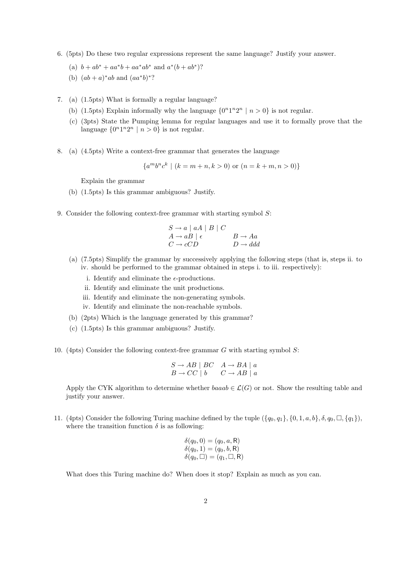- 6. (5pts) Do these two regular expressions represent the same language? Justify your answer.
	- (a)  $b + ab^* + aa^*b + aa^*ab^*$  and  $a^*(b + ab^*)$ ?
	- (b)  $(ab + a)*ab$  and  $(aa*b)*?$
- 7. (a) (1.5pts) What is formally a regular language?
	- (b) (1.5pts) Explain informally why the language  $\{0^n1^n2^n \mid n>0\}$  is not regular.
	- (c) (3pts) State the Pumping lemma for regular languages and use it to formally prove that the language  $\{0^n1^n2^n \mid n>0\}$  is not regular.
- 8. (a) (4.5pts) Write a context-free grammar that generates the language

 ${a^m b^n c^k \mid (k = m + n, k > 0) \text{ or } (n = k + m, n > 0)}$ 

Explain the grammar

- (b) (1.5pts) Is this grammar ambiguous? Justify.
- 9. Consider the following context-free grammar with starting symbol S:

$$
S \to a \mid aA \mid B \mid C
$$
  
\n
$$
A \to aB \mid \epsilon
$$
  
\n
$$
C \to cCD
$$
  
\n
$$
B \to Aa
$$
  
\n
$$
D \to d\bar{d}
$$

- (a) (7.5pts) Simplify the grammar by successively applying the following steps (that is, steps ii. to iv. should be performed to the grammar obtained in steps i. to iii. respectively):
	- i. Identify and eliminate the  $\epsilon$ -productions.
	- ii. Identify and eliminate the unit productions.
	- iii. Identify and eliminate the non-generating symbols.
	- iv. Identify and eliminate the non-reachable symbols.
- (b) (2pts) Which is the language generated by this grammar?
- (c) (1.5pts) Is this grammar ambiguous? Justify.
- 10. (4pts) Consider the following context-free grammar G with starting symbol S:

$$
S \to AB \mid BC \quad A \to BA \mid a
$$
  

$$
B \to CC \mid b \qquad C \to AB \mid a
$$

Apply the CYK algorithm to determine whether baaab  $\in \mathcal{L}(G)$  or not. Show the resulting table and justify your answer.

11. (4pts) Consider the following Turing machine defined by the tuple  $({q_0, q_1}, {0, 1, a, b}, \delta, q_0, \Box, {q_1}),$ where the transition function  $\delta$  is as following:

$$
\delta(q_0, 0) = (q_0, a, R) \n\delta(q_0, 1) = (q_0, b, R) \n\delta(q_0, \Box) = (q_1, \Box, R)
$$

What does this Turing machine do? When does it stop? Explain as much as you can.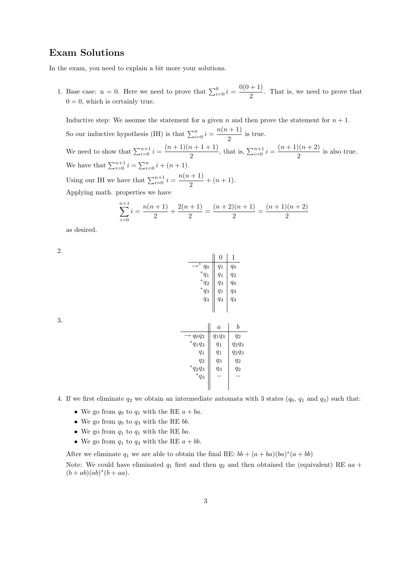## Exam Solutions

In the exam, you need to explain a bit more your solutions.

1. Base case: n = 0. Here we need to prove that  $\sum_{i=0}^{0} i = \frac{0(0+1)}{2}$  $\frac{1}{2}$ . That is, we need to prove that  $0 = 0$ , which is certainly true.

Inductive step: We assume the statement for a given n and then prove the statement for  $n + 1$ . So our inductive hypothesis (IH) is that  $\sum_{i=0}^{n} i = \frac{n(n+1)}{2}$  $\frac{1}{2}$  is true. We need to show that  $\sum_{i=0}^{n+1} i = \frac{(n+1)(n+1+1)}{2}$  $\frac{n+1+1}{2}$ , that is,  $\sum_{i=0}^{n+1} i = \frac{(n+1)(n+2)}{2}$  $\frac{2}{2}$  is also true. We have that  $\sum_{i=0}^{n+1} i = \sum_{i=0}^{n} i + (n+1)$ . Using our IH we have that  $\sum_{i=0}^{n+1} i = \frac{n(n+1)}{2}$  $\frac{1}{2} + (n+1).$ Applying math. properties we have

$$
\sum_{i=0}^{n+1} i = \frac{n(n+1)}{2} + \frac{2(n+1)}{2} = \frac{(n+2)(n+1)}{2} = \frac{(n+1)(n+2)}{2}
$$

as desired.

2.

|                 | 0     | 1     |
|-----------------|-------|-------|
| ∗<br>$q_0$      | $q_1$ | $q_0$ |
| ${}^*q_1$       | $q_1$ | $q_2$ |
| $\ast$<br>$q_2$ | $q_3$ | $q_0$ |
| ${}^*\bar{q}_3$ | $q_1$ | $q_4$ |
| $q_4$           | $q_4$ | $q_4$ |
|                 |       |       |
|                 |       |       |

 $\rightarrow$   $q_0q_2 \parallel q_1q_3 \parallel q_2$ <br>\*  $q_2q_3 \parallel q_4q_5 \parallel q_5q_6$  $q_1q_3 \parallel q_1 \parallel q_2q_3$  $q_1 \parallel q_1 \parallel q_2q_3$ 

 $\begin{array}{c|c} q_2 & q_3 & q_2 \ \ast q_2 q_3 & q_3 & q_2 \ \ast q_3 & - & - \end{array}$ 

 $a \mid b$ 

| ۰,<br>٧<br>×<br>I   |  |
|---------------------|--|
| - 2<br>۰.<br>×<br>٧ |  |

| 4. If we first eliminate $q_2$ we obtain an intermediate automata with 3 states $(q_0, q_1)$ and $q_3$ ) such that: |  |
|---------------------------------------------------------------------------------------------------------------------|--|
|---------------------------------------------------------------------------------------------------------------------|--|

- We go from  $q_0$  to  $q_1$  with the RE  $a + ba$ .
- We go from  $q_0$  to  $q_3$  with the RE bb.
- We go from  $q_1$  to  $q_1$  with the RE ba.
- We go from  $q_1$  to  $q_3$  with the RE  $a + bb$ .

After we eliminate  $q_1$  we are able to obtain the final RE:  $bb + (a + ba)(ba)^*(a + bb)$ 

Note: We could have eliminated  $q_1$  first and then  $q_2$  and then obtained the (equivalent) RE  $aa +$  $(b + ab)(ab)^*(b + aa).$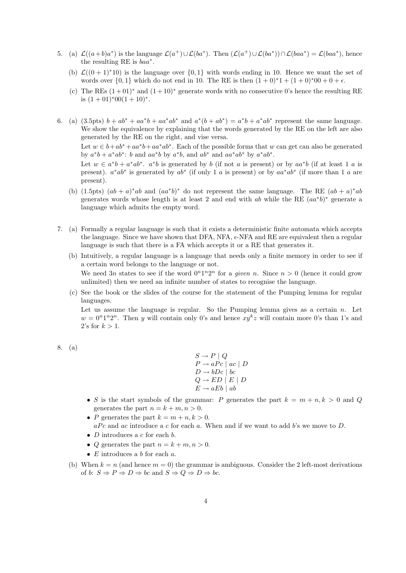- 5. (a)  $\mathcal{L}((a+b)a^*)$  is the language  $\mathcal{L}(a^+) \cup \mathcal{L}(ba^*)$ . Then  $(\mathcal{L}(a^+) \cup \mathcal{L}(ba^*)) \cap \mathcal{L}(baa^*) = \mathcal{L}(baa^*)$ , hence the resulting RE is  $baa^*$ .
	- (b)  $\mathcal{L}((0+1)*10)$  is the language over  $\{0,1\}$  with words ending in 10. Hence we want the set of words over  $\{0, 1\}$  which do not end in 10. The RE is then  $(1 + 0)*1 + (1 + 0)*00 + 0 + \epsilon$ .
	- (c) The REs  $(1+01)^*$  and  $(1+10)^*$  generate words with no consecutive 0's hence the resulting RE is  $(1+01)*00(1+10)*$ .
- 6. (a)  $(3.5 \text{pts}) b + ab^* + aa^*b + aa^*ab^*$  and  $a^*(b+ab^*) = a^*b + a^*ab^*$  represent the same language. We show the equivalence by explaining that the words generated by the RE on the left are also generated by the RE on the right, and vise versa.

Let  $w \in b + ab^* + aa^*b + aa^*ab^*$ . Each of the possible forms that w can get can also be generated by  $a^*b + a^*ab^*$ : b and  $aa^*b$  by  $a^*b$ , and  $ab^*$  and  $aa^*ab^*$  by  $a^*ab^*$ .

Let  $w \in a^*b + a^*ab^*$ .  $a^*b$  is generated by b (if not a is present) or by  $aa^*b$  (if at least 1 a is present).  $a^*ab^*$  is generated by  $ab^*$  (if only 1 a is present) or by  $aa^*ab^*$  (if more than 1 a are present).

- (b) (1.5pts)  $(ab + a)^*ab$  and  $(aa^*b)^*$  do not represent the same language. The RE  $(ab + a)^*ab$ generates words whose length is at least 2 and end with ab while the RE  $(aa^*b)^*$  generate a language which admits the empty word.
- 7. (a) Formally a regular language is such that it exists a deterministic finite automata which accepts the language. Since we have shown that  $DFA$ ,  $NFA$ ,  $\epsilon$ -NFA and RE are equivalent then a regular language is such that there is a FA which accepts it or a RE that generates it.
	- (b) Intuitively, a regular language is a language that needs only a finite memory in order to see if a certain word belongs to the language or not. We need 3n states to see if the word  $0^n1^n2^n$  for a *given n*. Since  $n > 0$  (hence it could grow unlimited) then we need an infinite number of states to recognise the language.
	- (c) See the book or the slides of the course for the statement of the Pumping lemma for regular languages.

Let us assume the language is regular. So the Pumping lemma gives as a certain  $n$ . Let  $w = 0<sup>n</sup>1<sup>n</sup>2<sup>n</sup>$ . Then y will contain only 0's and hence  $xy<sup>k</sup>z$  will contain more 0's than 1's and 2's for  $k > 1$ .

```
8. (a)
```
 $S \to P \mid Q$  $P \rightarrow aPc \mid ac \mid D$  $D \rightarrow bDc \mid bc$  $Q \rightarrow ED \mid E \mid D$  $E \rightarrow aEb \mid ab$ 

- S is the start symbols of the grammar: P generates the part  $k = m + n, k > 0$  and Q generates the part  $n = k + m, n > 0$ .
- P generates the part  $k = m + n, k > 0$ .  $aPc$  and ac introduce a c for each a. When and if we want to add b's we move to D.
- $D$  introduces a  $c$  for each  $b$ .
- Q generates the part  $n = k + m, n > 0$ .
- $E$  introduces a b for each  $a$ .
- (b) When  $k = n$  (and hence  $m = 0$ ) the grammar is ambiguous. Consider the 2 left-most derivations of b:  $S \Rightarrow P \Rightarrow D \Rightarrow bc$  and  $S \Rightarrow Q \Rightarrow D \Rightarrow bc$ .